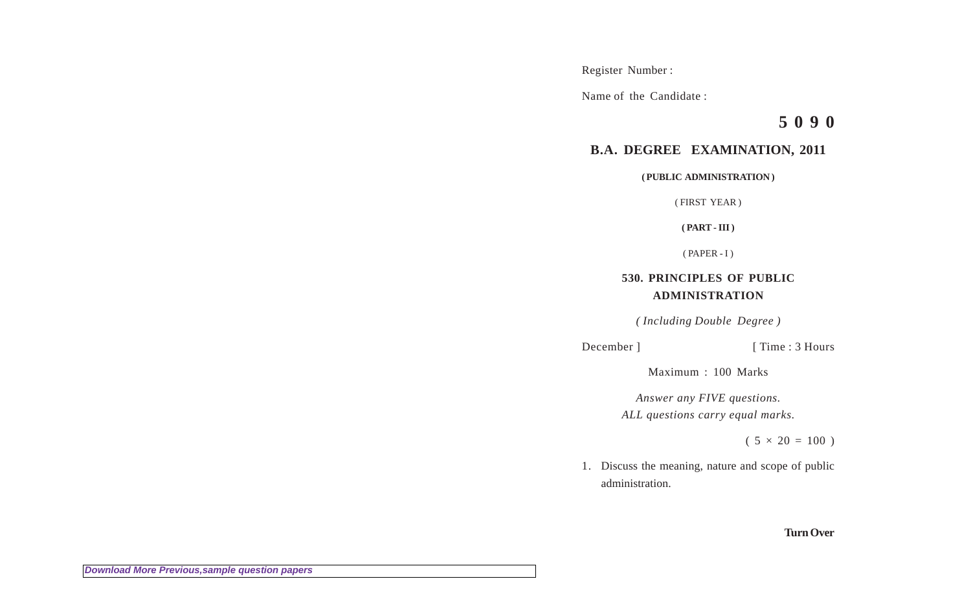Register Number :

Name of the Candidate :

**5 0 9 0**

## **B.A. DEGREE EXAMINATION, 2011**

**( PUBLIC ADMINISTRATION )**

( FIRST YEAR )

**( PART - III )**

 $(PAPER - I)$ 

# **530. PRINCIPLES OF PUBLIC ADMINISTRATION**

*( Including Double Degree )*

December ] [ Time : 3 Hours

Maximum : 100 Marks

*Answer any FIVE questions. ALL questions carry equal marks.*

 $(5 \times 20 = 100)$ 

1. Discuss the meaning, nature and scope of public administration.

**Turn Over**